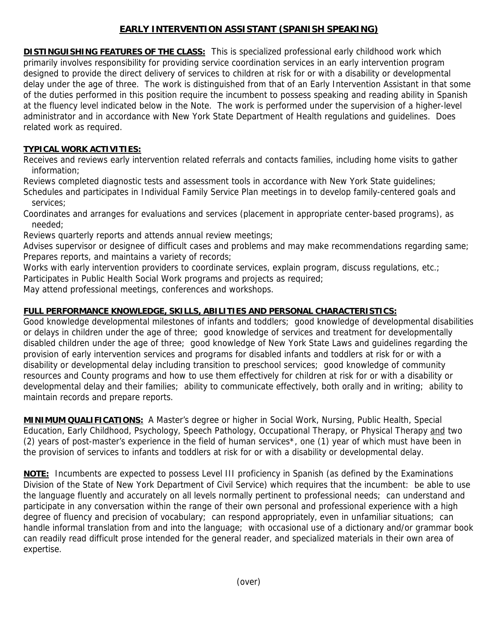## **EARLY INTERVENTION ASSISTANT (SPANISH SPEAKING)**

**DISTINGUISHING FEATURES OF THE CLASS:** This is specialized professional early childhood work which primarily involves responsibility for providing service coordination services in an early intervention program designed to provide the direct delivery of services to children at risk for or with a disability or developmental delay under the age of three. The work is distinguished from that of an Early Intervention Assistant in that some of the duties performed in this position require the incumbent to possess speaking and reading ability in Spanish at the fluency level indicated below in the Note. The work is performed under the supervision of a higher-level administrator and in accordance with New York State Department of Health regulations and guidelines. Does related work as required.

## **TYPICAL WORK ACTIVITIES:**

Receives and reviews early intervention related referrals and contacts families, including home visits to gather information;

Reviews completed diagnostic tests and assessment tools in accordance with New York State guidelines;

Schedules and participates in Individual Family Service Plan meetings in to develop family-centered goals and services;

Coordinates and arranges for evaluations and services (placement in appropriate center-based programs), as needed;

Reviews quarterly reports and attends annual review meetings;

Advises supervisor or designee of difficult cases and problems and may make recommendations regarding same; Prepares reports, and maintains a variety of records;

Works with early intervention providers to coordinate services, explain program, discuss regulations, etc.;

Participates in Public Health Social Work programs and projects as required;

May attend professional meetings, conferences and workshops.

## **FULL PERFORMANCE KNOWLEDGE, SKILLS, ABILITIES AND PERSONAL CHARACTERISTICS:**

Good knowledge developmental milestones of infants and toddlers; good knowledge of developmental disabilities or delays in children under the age of three; good knowledge of services and treatment for developmentally disabled children under the age of three; good knowledge of New York State Laws and guidelines regarding the provision of early intervention services and programs for disabled infants and toddlers at risk for or with a disability or developmental delay including transition to preschool services; good knowledge of community resources and County programs and how to use them effectively for children at risk for or with a disability or developmental delay and their families; ability to communicate effectively, both orally and in writing; ability to maintain records and prepare reports.

**MINIMUM QUALIFICATIONS:** A Master's degree or higher in Social Work, Nursing, Public Health, Special Education, Early Childhood, Psychology, Speech Pathology, Occupational Therapy, or Physical Therapy and two (2) years of post-master's experience in the field of human services\*, one (1) year of which must have been in the provision of services to infants and toddlers at risk for or with a disability or developmental delay.

**NOTE:** Incumbents are expected to possess Level III proficiency in Spanish (as defined by the Examinations Division of the State of New York Department of Civil Service) which requires that the incumbent: be able to use the language fluently and accurately on all levels normally pertinent to professional needs; can understand and participate in any conversation within the range of their own personal and professional experience with a high degree of fluency and precision of vocabulary; can respond appropriately, even in unfamiliar situations; can handle informal translation from and into the language; with occasional use of a dictionary and/or grammar book can readily read difficult prose intended for the general reader, and specialized materials in their own area of expertise.